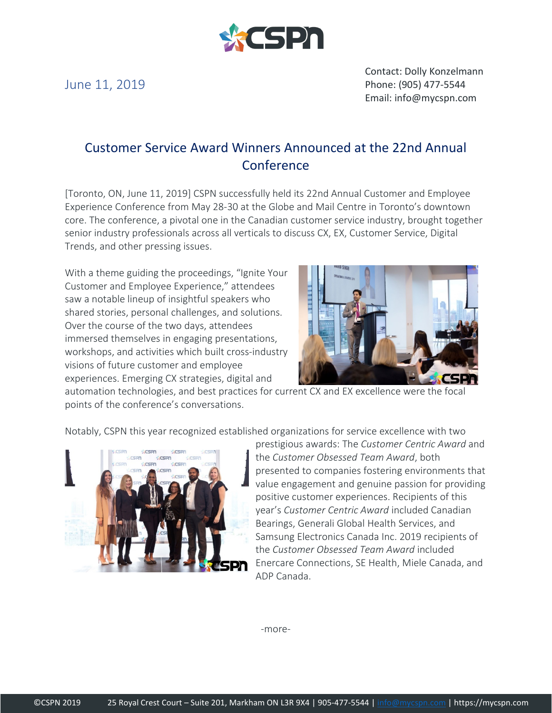

June 11, 2019

Contact: Dolly Konzelmann Phone: (905) 477-5544 Email: info@mycspn.com

## Customer Service Award Winners Announced at the 22nd Annual **Conference**

[Toronto, ON, June 11, 2019] CSPN successfully held its 22nd Annual Customer and Employee Experience Conference from May 28-30 at the Globe and Mail Centre in Toronto's downtown core. The conference, a pivotal one in the Canadian customer service industry, brought together senior industry professionals across all verticals to discuss CX, EX, Customer Service, Digital Trends, and other pressing issues.

With a theme guiding the proceedings, "Ignite Your Customer and Employee Experience," attendees saw a notable lineup of insightful speakers who shared stories, personal challenges, and solutions. Over the course of the two days, attendees immersed themselves in engaging presentations, workshops, and activities which built cross-industry visions of future customer and employee experiences. Emerging CX strategies, digital and



automation technologies, and best practices for current CX and EX excellence were the focal points of the conference's conversations.

Notably, CSPN this year recognized established organizations for service excellence with two



prestigious awards: The *Customer Centric Award* and the *Customer Obsessed Team Award*, both presented to companies fostering environments that value engagement and genuine passion for providing positive customer experiences. Recipients of this year's *Customer Centric Award* included Canadian Bearings, Generali Global Health Services, and Samsung Electronics Canada Inc. 2019 recipients of the *Customer Obsessed Team Award* included Enercare Connections, SE Health, Miele Canada, and ADP Canada.

-more-